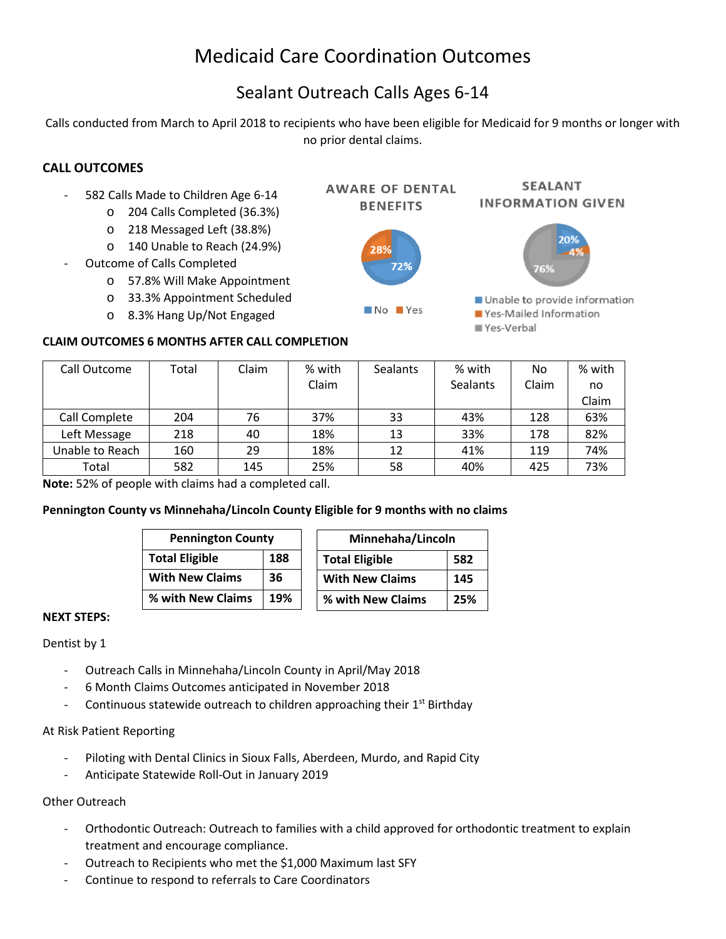# Medicaid Care Coordination Outcomes

# Sealant Outreach Calls Ages 6-14

Calls conducted from March to April 2018 to recipients who have been eligible for Medicaid for 9 months or longer with no prior dental claims.

### **CALL OUTCOMES**

- 582 Calls Made to Children Age 6-14
	- o 204 Calls Completed (36.3%)
	- o 218 Messaged Left (38.8%)
	- o 140 Unable to Reach (24.9%)
- Outcome of Calls Completed
	- o 57.8% Will Make Appointment
	- o 33.3% Appointment Scheduled
	- o 8.3% Hang Up/Not Engaged

#### **CLAIM OUTCOMES 6 MONTHS AFTER CALL COMPLETION**

| Call Outcome    | Total | Claim | % with | <b>Sealants</b> | % with          | No    | % with |
|-----------------|-------|-------|--------|-----------------|-----------------|-------|--------|
|                 |       |       | Claim  |                 | <b>Sealants</b> | Claim | no     |
|                 |       |       |        |                 |                 |       | Claim  |
| Call Complete   | 204   | 76    | 37%    | 33              | 43%             | 128   | 63%    |
| Left Message    | 218   | 40    | 18%    | 13              | 33%             | 178   | 82%    |
| Unable to Reach | 160   | 29    | 18%    | 12              | 41%             | 119   | 74%    |
| Total           | 582   | 145   | 25%    | 58              | 40%             | 425   | 73%    |

**Note:** 52% of people with claims had a completed call.

#### **Pennington County vs Minnehaha/Lincoln County Eligible for 9 months with no claims**

| <b>Pennington County</b>     |     | Minnehaha/Lincoln      |     |  |
|------------------------------|-----|------------------------|-----|--|
| <b>Total Eligible</b><br>188 |     | <b>Total Eligible</b>  | 582 |  |
| <b>With New Claims</b>       | 36  | <b>With New Claims</b> | 145 |  |
| % with New Claims            | 19% | % with New Claims      | 25% |  |

#### **NEXT STEPS:**

Dentist by 1

- Outreach Calls in Minnehaha/Lincoln County in April/May 2018
- 6 Month Claims Outcomes anticipated in November 2018
- Continuous statewide outreach to children approaching their  $1<sup>st</sup>$  Birthday

#### At Risk Patient Reporting

- Piloting with Dental Clinics in Sioux Falls, Aberdeen, Murdo, and Rapid City
- Anticipate Statewide Roll-Out in January 2019

#### Other Outreach

- Orthodontic Outreach: Outreach to families with a child approved for orthodontic treatment to explain treatment and encourage compliance.
- Outreach to Recipients who met the \$1,000 Maximum last SFY
- Continue to respond to referrals to Care Coordinators



■ Yes-Verbal